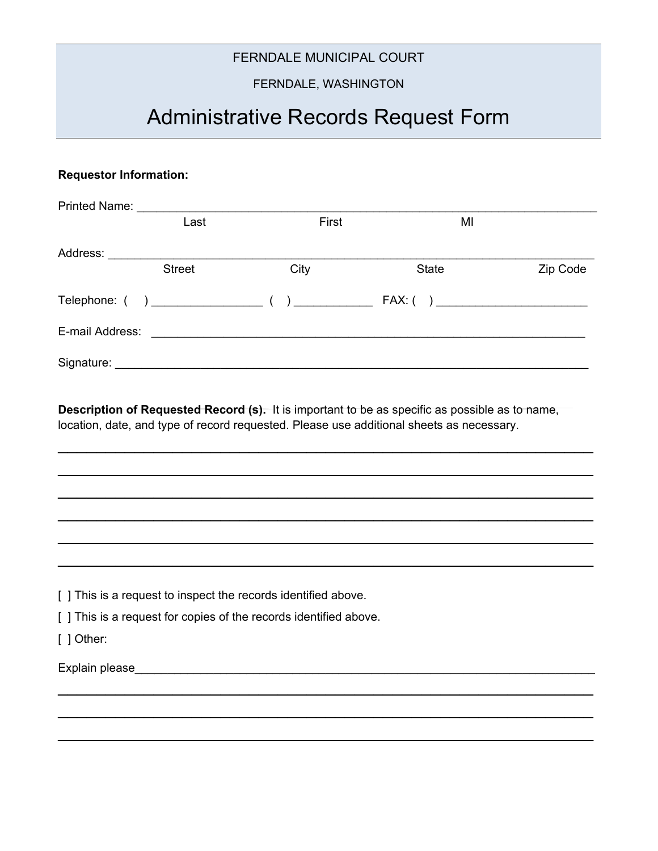## FERNDALE MUNICIPAL COURT

## FERNDALE, WASHINGTON

# Administrative Records Request Form

#### **Requestor Information:**

| <b>Printed Name:</b>         |               |                                                           |                                            |          |
|------------------------------|---------------|-----------------------------------------------------------|--------------------------------------------|----------|
|                              | Last          | First                                                     | MI                                         |          |
| Address:                     |               |                                                           |                                            |          |
|                              | <b>Street</b> | City                                                      | State                                      | Zip Code |
|                              |               |                                                           | $FAX: (\quad) \; \underline{\hspace{2cm}}$ |          |
| E-mail Address:              |               | <u> 1989 - Johann Barnett, fransk politiker (d. 1989)</u> |                                            |          |
| Signature: <b>Signature:</b> |               |                                                           |                                            |          |

**Description of Requested Record (s).** It is important to be as specific as possible as to name, location, date, and type of record requested. Please use additional sheets as necessary.

 $\mathcal{L}_\text{max}$  and  $\mathcal{L}_\text{max}$  and  $\mathcal{L}_\text{max}$  and  $\mathcal{L}_\text{max}$  and  $\mathcal{L}_\text{max}$  and  $\mathcal{L}_\text{max}$ 

 $\mathcal{L}_\text{max}$  and  $\mathcal{L}_\text{max}$  and  $\mathcal{L}_\text{max}$  and  $\mathcal{L}_\text{max}$  and  $\mathcal{L}_\text{max}$  and  $\mathcal{L}_\text{max}$ 

 $\mathcal{L}_\text{max}$  and  $\mathcal{L}_\text{max}$  and  $\mathcal{L}_\text{max}$  and  $\mathcal{L}_\text{max}$  and  $\mathcal{L}_\text{max}$  and  $\mathcal{L}_\text{max}$ 

 $\mathcal{L}_\text{max}$  and  $\mathcal{L}_\text{max}$  and  $\mathcal{L}_\text{max}$  and  $\mathcal{L}_\text{max}$  and  $\mathcal{L}_\text{max}$  and  $\mathcal{L}_\text{max}$ 

 $\mathcal{L}_\text{max}$  and  $\mathcal{L}_\text{max}$  and  $\mathcal{L}_\text{max}$  and  $\mathcal{L}_\text{max}$  and  $\mathcal{L}_\text{max}$  and  $\mathcal{L}_\text{max}$ 

 $\mathcal{L}_\text{max}$  and  $\mathcal{L}_\text{max}$  and  $\mathcal{L}_\text{max}$  and  $\mathcal{L}_\text{max}$  and  $\mathcal{L}_\text{max}$ 

 $\mathcal{L}_\text{max}$  and  $\mathcal{L}_\text{max}$  and  $\mathcal{L}_\text{max}$  and  $\mathcal{L}_\text{max}$  and  $\mathcal{L}_\text{max}$  and  $\mathcal{L}_\text{max}$ 

 $\mathcal{L}_\text{max}$  and  $\mathcal{L}_\text{max}$  and  $\mathcal{L}_\text{max}$  and  $\mathcal{L}_\text{max}$  and  $\mathcal{L}_\text{max}$  and  $\mathcal{L}_\text{max}$ 

 $\mathcal{L}_\text{max}$  and  $\mathcal{L}_\text{max}$  and  $\mathcal{L}_\text{max}$  and  $\mathcal{L}_\text{max}$  and  $\mathcal{L}_\text{max}$ 

[ ] This is a request to inspect the records identified above.

[ ] This is a request for copies of the records identified above.

[ ] Other:

Explain please\_\_\_\_\_\_\_\_\_\_\_\_\_\_\_\_\_\_\_\_\_\_\_\_\_\_\_\_\_\_\_\_\_\_\_\_\_\_\_\_\_\_\_\_\_\_\_\_\_\_\_\_\_\_\_\_\_\_\_\_\_\_\_\_\_\_\_\_\_\_